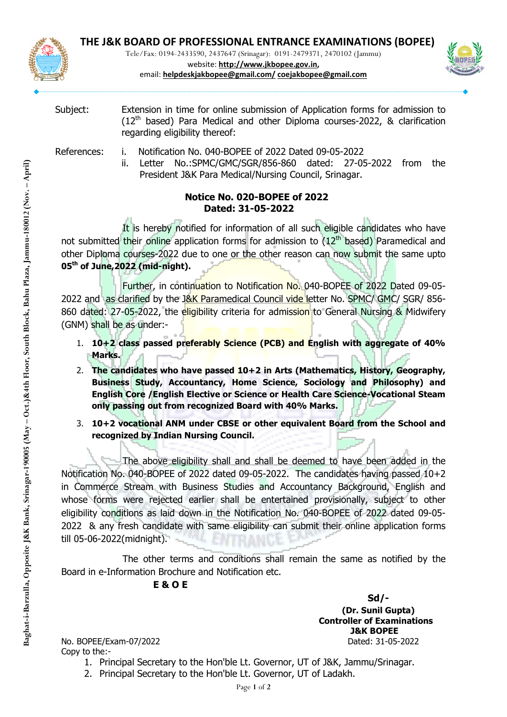

Tele/Fax: 0194-2433590, 2437647 (Srinagar): 0191-2479371, 2470102 (Jammu)



website: http://www.jkbopee.gov.in, email: helpdeskjakbopee@gmail.com/ coejakbopee@gmail.com

Subject: Extension in time for online submission of Application forms for admission to ( $12<sup>th</sup>$  based) Para Medical and other Diploma courses-2022, & clarification regarding eligibility thereof:

References: i. Notification No. 040-BOPEE of 2022 Dated 09-05-2022

بان المستوى التي تقديم بان المستوى التي تقديم المستوى المستوى المستوى المستوى المستوى المستوى المستوى المستوى<br>المستوى المستوى المستوى المستوى المستوى المستوى المستوى المستوى المستوى المستوى المستوى المستوى المستوى المستو<br> ii. Letter No.:SPMC/GMC/SGR/856-860 dated: 27-05-2022 from the President J&K Para Medical/Nursing Council, Srinagar.

## Notice No. 020-BOPEE of 2022 Dated: 31-05-2022

 $\frac{3.5}{2.5}$ <br>  $\frac{3.5}{2.5}$ <br>  $\frac{3.5}{2.5}$ <br>  $\frac{3.5}{2.5}$ <br>  $\frac{3.5}{2.5}$ <br>  $\frac{3.5}{2.5}$ <br>  $\frac{3.5}{2.5}$ <br>  $\frac{3.5}{2.5}$ <br>  $\frac{3.5}{2.5}$ <br>  $\frac{3.5}{2.5}$ <br>  $\frac{3.5}{2.5}$ <br>  $\frac{3.5}{2.5}$ <br>  $\frac{3.5}{2.5}$ <br>  $\frac{3.5}{2.5}$ <br>  $\frac{3.5}{2.5$ It is hereby notified for information of all such eligible candidates who have not submitted their online application forms for admission to  $(12<sup>th</sup>$  based) Paramedical and other Diploma courses-2022 due to one or the other reason can now submit the same upto 05<sup>th</sup> of June, 2022 (mid-night).

 Further, in continuation to Notification No. 040-BOPEE of 2022 Dated 09-05- 2022 and as clarified by the J&K Paramedical Council vide letter No. SPMC/ GMC/ SGR/ 856-860 dated: 27-05-2022, the eligibility criteria for admission to General Nursing & Midwifery (GNM) shall be as under:-

- 1.  $10+2$  class passed preferably Science (PCB) and English with aggregate of 40% Marks.
- 2. The candidates who have passed 10+2 in Arts (Mathematics, History, Geography, Business Study, Accountancy, Home Science, Sociology and Philosophy) and English Core /English Elective or Science or Health Care Science-Vocational Steam only passing out from recognized Board with 40% Marks.
- 3. 10+2 vocational ANM under CBSE or other equivalent Board from the School and recognized by Indian Nursing Council.

France Controllary and Murater Cose of other<br>
Page 1 of 2022 dated 09-05-2<br>
The above eligibility shall and shal<br>
Notification No. 040-BOPEE of 2022 dated 09-05-2<br>
in Commerce Stream with Business Studies and<br>
whose forms The above eligibility shall and shall be deemed to have been added in the Notification No. 040-BOPEE of 2022 dated 09-05-2022. The candidates having passed 10+2 in Commerce Stream with Business Studies and Accountancy Background, English and whose forms were rejected earlier shall be entertained provisionally, subject to other eligibility conditions as laid down in the Notification No. 040-BOPEE of 2022 dated 09-05- 2022 & any fresh candidate with same eligibility can submit their online application forms till 05-06-2022(midnight).

 The other terms and conditions shall remain the same as notified by the Board in e-Information Brochure and Notification etc.

## E & O E

No. BOPEE/Exam-07/2022 Dated: 31-05-2022 Copy to the:-

 Sd/- (Dr. Sunil Gupta) Controller of Examinations J&K BOPEE

- 1. Principal Secretary to the Hon'ble Lt. Governor, UT of J&K, Jammu/Srinagar.
- 2. Principal Secretary to the Hon'ble Lt. Governor, UT of Ladakh.